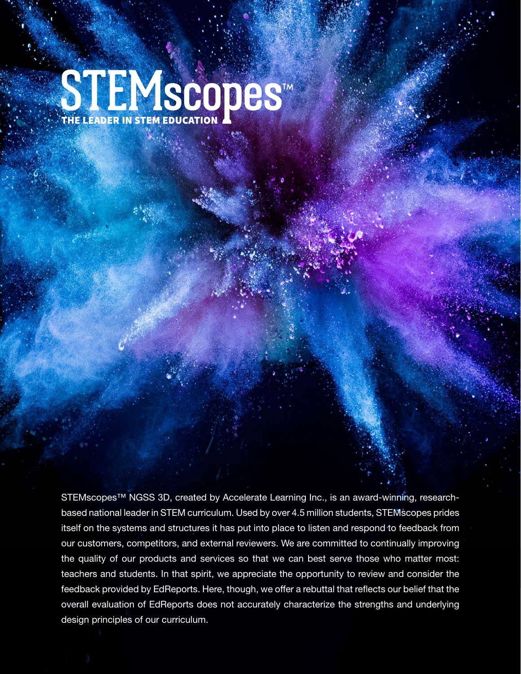# STEMSCODES<sup>IM</sup>

STEMscopes™ NGSS 3D, created by Accelerate Learning Inc., is an award-winning, researchbased national leader in STEM curriculum. Used by over 4.5 million students, STEMscopes prides itself on the systems and structures it has put into place to listen and respond to feedback from our customers, competitors, and external reviewers. We are committed to continually improving the quality of our products and services so that we can best serve those who matter most: teachers and students. In that spirit, we appreciate the opportunity to review and consider the feedback provided by EdReports. Here, though, we offer a rebuttal that reflects our belief that the overall evaluation of EdReports does not accurately characterize the strengths and underlying design principles of our curriculum.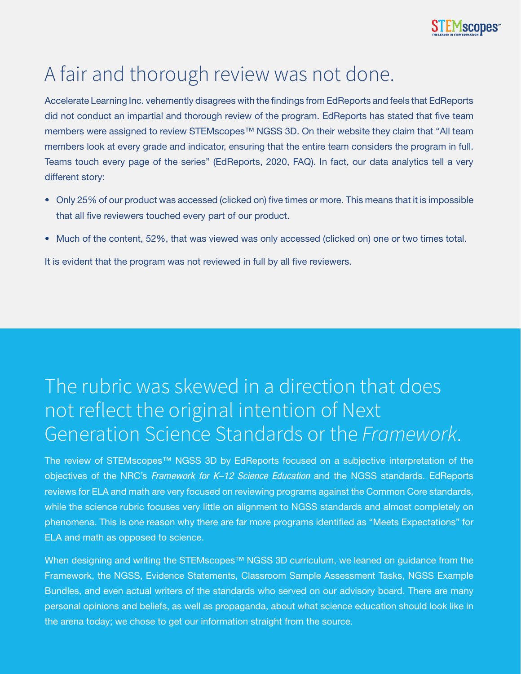

## A fair and thorough review was not done.

Accelerate Learning Inc. vehemently disagrees with the findings from EdReports and feels that EdReports did not conduct an impartial and thorough review of the program. EdReports has stated that five team members were assigned to review STEMscopes<sup>™</sup> NGSS 3D. On their website they claim that "All team members look at every grade and indicator, ensuring that the entire team considers the program in full. Teams touch every page of the series" (EdReports, 2020, FAQ). In fact, our data analytics tell a very different story:

- Only 25% of our product was accessed (clicked on) five times or more. This means that it is impossible that all five reviewers touched every part of our product.
- Much of the content, 52%, that was viewed was only accessed (clicked on) one or two times total.

It is evident that the program was not reviewed in full by all five reviewers.

## The rubric was skewed in a direction that does not reflect the original intention of Next Generation Science Standards or the *Framework*.

The review of STEMscopes™ NGSS 3D by EdReports focused on a subjective interpretation of the objectives of the NRC's *Framework for K–12 Science Education* and the NGSS standards. EdReports reviews for ELA and math are very focused on reviewing programs against the Common Core standards, while the science rubric focuses very little on alignment to NGSS standards and almost completely on phenomena. This is one reason why there are far more programs identified as "Meets Expectations" for ELA and math as opposed to science.

When designing and writing the STEMscopes<sup>™</sup> NGSS 3D curriculum, we leaned on guidance from the Framework, the NGSS, Evidence Statements, Classroom Sample Assessment Tasks, NGSS Example Bundles, and even actual writers of the standards who served on our advisory board. There are many personal opinions and beliefs, as well as propaganda, about what science education should look like in the arena today; we chose to get our information straight from the source.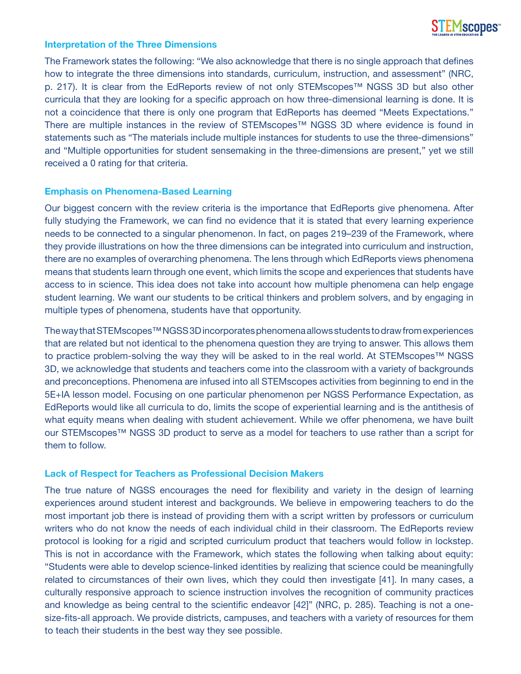

### **Interpretation of the Three Dimensions**

The Framework states the following: "We also acknowledge that there is no single approach that defines how to integrate the three dimensions into standards, curriculum, instruction, and assessment" (NRC, p. 217). It is clear from the EdReports review of not only STEMscopes™ NGSS 3D but also other curricula that they are looking for a specific approach on how three-dimensional learning is done. It is not a coincidence that there is only one program that EdReports has deemed "Meets Expectations." There are multiple instances in the review of STEMscopes™ NGSS 3D where evidence is found in statements such as "The materials include multiple instances for students to use the three-dimensions" and "Multiple opportunities for student sensemaking in the three-dimensions are present," yet we still received a 0 rating for that criteria.

## **Emphasis on Phenomena-Based Learning**

Our biggest concern with the review criteria is the importance that EdReports give phenomena. After fully studying the Framework, we can find no evidence that it is stated that every learning experience needs to be connected to a singular phenomenon. In fact, on pages 219–239 of the Framework, where they provide illustrations on how the three dimensions can be integrated into curriculum and instruction, there are no examples of overarching phenomena. The lens through which EdReports views phenomena means that students learn through one event, which limits the scope and experiences that students have access to in science. This idea does not take into account how multiple phenomena can help engage student learning. We want our students to be critical thinkers and problem solvers, and by engaging in multiple types of phenomena, students have that opportunity.

The way that STEMscopes™ NGSS 3D incorporates phenomena allows students to draw from experiences that are related but not identical to the phenomena question they are trying to answer. This allows them to practice problem-solving the way they will be asked to in the real world. At STEMscopes™ NGSS 3D, we acknowledge that students and teachers come into the classroom with a variety of backgrounds and preconceptions. Phenomena are infused into all STEMscopes activities from beginning to end in the 5E+IA lesson model. Focusing on one particular phenomenon per NGSS Performance Expectation, as EdReports would like all curricula to do, limits the scope of experiential learning and is the antithesis of what equity means when dealing with student achievement. While we offer phenomena, we have built our STEMscopes™ NGSS 3D product to serve as a model for teachers to use rather than a script for them to follow.

## **Lack of Respect for Teachers as Professional Decision Makers**

The true nature of NGSS encourages the need for flexibility and variety in the design of learning experiences around student interest and backgrounds. We believe in empowering teachers to do the most important job there is instead of providing them with a script written by professors or curriculum writers who do not know the needs of each individual child in their classroom. The EdReports review protocol is looking for a rigid and scripted curriculum product that teachers would follow in lockstep. This is not in accordance with the Framework, which states the following when talking about equity: "Students were able to develop science-linked identities by realizing that science could be meaningfully related to circumstances of their own lives, which they could then investigate [41]. In many cases, a culturally responsive approach to science instruction involves the recognition of community practices and knowledge as being central to the scientific endeavor [42]" (NRC, p. 285). Teaching is not a onesize-fits-all approach. We provide districts, campuses, and teachers with a variety of resources for them to teach their students in the best way they see possible.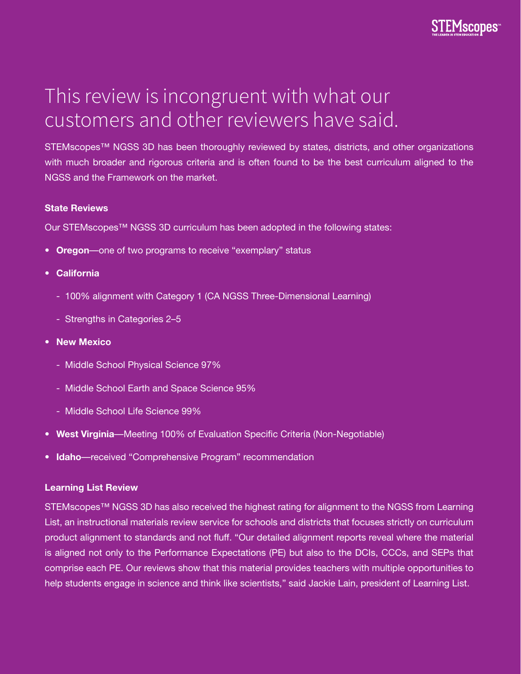

## This review is incongruent with what our customers and other reviewers have said.

STEMscopes™ NGSS 3D has been thoroughly reviewed by states, districts, and other organizations with much broader and rigorous criteria and is often found to be the best curriculum aligned to the NGSS and the Framework on the market.

## **State Reviews**

Our STEMscopes™ NGSS 3D curriculum has been adopted in the following states:

- **Oregon**—one of two programs to receive "exemplary" status
- **California**
	- 100% alignment with Category 1 (CA NGSS Three-Dimensional Learning)
	- Strengths in Categories 2–5
- **New Mexico**
	- Middle School Physical Science 97%
	- Middle School Earth and Space Science 95%
	- Middle School Life Science 99%
- **West Virginia**—Meeting 100% of Evaluation Specific Criteria (Non-Negotiable)
- **Idaho**—received "Comprehensive Program" recommendation

## **Learning List Review**

STEMscopes™ NGSS 3D has also received the highest rating for alignment to the NGSS from Learning List, an instructional materials review service for schools and districts that focuses strictly on curriculum product alignment to standards and not fluff. "Our detailed alignment reports reveal where the material is aligned not only to the Performance Expectations (PE) but also to the DCIs, CCCs, and SEPs that comprise each PE. Our reviews show that this material provides teachers with multiple opportunities to help students engage in science and think like scientists," said Jackie Lain, president of Learning List.